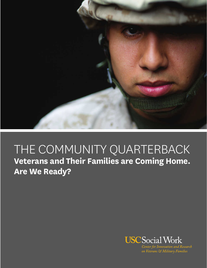

# THE COMMUNITY QUARTERBACK **Veterans and Their Families are Coming Home. Are We Ready?**



Center for Innovation and Research on Veterans & Military Families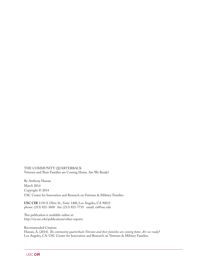THE COMMUNITY QUARTERBACK Veterans and Their Families are Coming Home. Are We Ready?

By Anthony Hassan March 2014 Copyright © 2014 USC Center for Innovation and Research on Veterans & Military Families

**USC CIR** 1150 S. Olive St., Suite 1400, Los Angeles, CA 90015 phone: (213) 821-3600 fax: (213) 821-7735 email: cir@usc.edu

This publication is available online at: http://cir.usc.edu/publications/other-reports

Recommended Citation: Hassan, A. (2014). *The community quarterback: Veterans and their famiilies are coming home. Are we ready?* Los Angeles, CA: USC Center for Innovation and Research on Veterans & Military Families.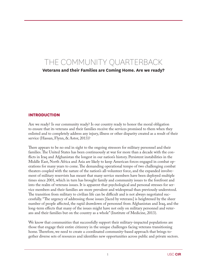# The COMMUNITY QUARTERBACK **Veterans and their Families are Coming Home. Are we ready?**

#### **Introduction**

Are we ready? Is our community ready? Is our country ready to honor the moral obligation to ensure that its veterans and their families receive the services promised to them when they enlisted and to completely address any injury, illness or other disparity created as a result of their service (Hassan, Flynn, & Astor, 2013)?

There appears to be no end in sight to the ongoing stressors for military personnel and their families. The United States has been continuously at war for more than a decade with the conflicts in Iraq and Afghanistan the longest in our nation's history. Persistent instabilities in the Middle East, North Africa and Asia are likely to keep American forces engaged in combat operations for many years to come. The demanding operational tempo of two challenging combat theaters coupled with the nature of the nation's all-volunteer force, and the expanded involvement of military reservists has meant that many service members have been deployed multiple times since 2001, which in turn has brought family and community issues to the forefront and into the realm of veterans issues. It is apparent that psychological and personal stresses for service members and their families are more prevalent and widespread than previously understood. The transition from military to civilian life can be difficult and is not always negotiated successfully. "The urgency of addressing those issues [faced by veterans] is heightened by the sheer number of people affected, the rapid drawdown of personnel from Afghanistan and Iraq, and the long-term effects that many of the issues might have not only on military personnel and veterans and their families but on the country as a whole" (Institute of Medicine, 2013).

We know that communities that successfully support their military-impacted populations are those that engage their entire citizenry in the unique challenges facing veterans transitioning home. Therefore, we need to create a coordinated community-based approach that brings together diverse sets of resources and identifies new opportunities across public and private sectors.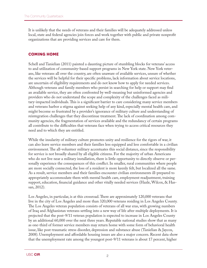It is unlikely that the needs of veterans and their families will be adequately addressed unless local, state and federal agencies join forces and work together with public and private nonprofit organizations that are providing services and care for them.

# **Coming Home**

Schell and Tanielian (2011) painted a daunting picture of stumbling blocks for veterans' access to and utilization of community-based support programs in New York state. New York veterans, like veterans all over the country, are often unaware of available services, unsure of whether the services will be helpful for their specific problems, lack information about service locations, are uncertain of eligibility requirements and do not know how to apply for needed services. Although veterans and family members who persist in searching for help or support may find an available service, they are often confronted by well-meaning but uninformed agencies and providers who do not understand the scope and complexity of the challenges faced as military-impacted individuals. This is a significant barrier to care considering many service members and veterans harbor a stigma against seeking help of any kind, especially mental health care, and might become so frustrated by a provider's ignorance of military culture and understanding of reintegration challenges that they discontinue treatment. The lack of coordination among community agencies, the fragmentation of services available and the redundancy of certain programs all contribute to the difficulties that veterans face when trying to access critical resources they need and to which they are entitled.

While the insularity of military culture promotes unity and resilience for the rigors of war, it can also leave service members and their families less equipped and less comfortable in a civilian environment. The all-volunteer military accentuates this social distance, since the responsibility for service is not broadly shared by all eligible citizens. For the majority of urban Americans who do not live near a military installation, there is little opportunity to directly observe or personally experience the consequences of this conflict. In smaller, rural communities where people are more socially connected, the loss of a resident is more keenly felt, but localized all the same. As a result, service members and their families encounter civilian environments ill-prepared to appropriately accommodate them with mental health care, employment readjustment, training support, education, financial guidance and other vitally needed services (Hazle, Wilcox, & Hassan, 2012).

Los Angeles, in particular, is at this crossroad. There are approximately 120,000 veterans that live in the city of Los Angeles and more than 320,000 veterans residing in Los Angeles County. The Los Angeles veteran population consists of veterans of all war eras, with growing numbers of Iraq and Afghanistan veterans settling into a new way of life after multiple deployments. It is projected that the post-9/11 veteran population is expected to increase in Los Angeles County by an additional 60,000 over the next three years. Reputable national studies show that as many as one-third of former service members may return home with some form of behavioral health issue, like post-traumatic stress disorder, depression and substance abuse (Tanielian & Jaycox, 2008). Unemployment and affordable housing issues are also a major concern. Recent data show that the unemployment rate among the youngest post-9/11 veterans is about 17 percent, higher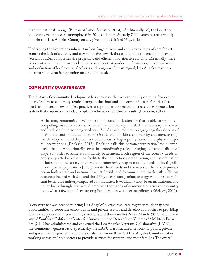than the national average (Bureau of Labor Statistics, 2014). Additionally, 35,000 Los Angeles County veterans were unemployed in 2011 and approximately 7,000 veterans are currently homeless in Los Angeles County on any given night (United Way, 2012).

Underlying the limitations inherent in Los Angeles' new and complex systems of care for veterans is the lack of a county and city policy framework that could guide the creation of strong veteran policies, comprehensive programs, and efficient and effective funding. Essentially, there is no central, comprehensive and cohesive strategy that guides the formation, implementation and evaluation of local veterans' policies and programs. In this regard, Los Angeles may be a microcosm of what is happening on a national scale.

# **Community Quarterback**

The history of community development has shown us that we cannot rely on just a few extraordinary leaders to achieve systemic change in the thousands of communities in America that need help. Instead, new policies, practices and products are needed to create a next-generation system that empowers everyday people to achieve extraordinary results (Erickson, 2012).

At its root, community development is focused on leadership that is able to promote a compelling vision of success for an entire community, marshal the necessary resources, and lead people in an integrated way. All of which, requires bringing together dozens of institutions and thousands of people inside and outside a community and orchestrating the development and deployment of an array of high-quality human and physical capital interventions (Erickson, 2013). Erickson calls this person/organization "the quarterback," the one who primarily serves in a coordinating role, managing a diverse coalition of players in order to achieve community betterment. Each region of the country needs an entity, a quarterback that can facilitate the connections, organization, and dissemination of information necessary to coordinate community response to the needs of local [military-impacted populations] and promote these needs and the needs of the service providers on both a state and national level. A flexible and dynamic quarterback with sufficient resources, backed with data and the ability to constantly refine strategy, would be a significant benefit for military-impacted communities. It would, in short, be an institutional and policy breakthrough that would empower thousands of communities across the country to do what a few saints have accomplished: routinize the extraordinary (Erickson, 2013).

A quarterback was needed to bring Los Angeles' diverse resources together to identify new opportunities to cooperate across public and private sectors and develop approaches to providing care and support to our community's veterans and their families. Since March 2012, the University of Southern California Center for Innovation and Research on Veterans & Military Families (CIR) has administered and convened the Los Angeles Veterans Collaborative (LAVC) the community quarterback. Specifically, the LAVC is a structured network of public, private and government agencies and professionals from more than 250 Los Angeles County entities working across multiple sectors to provide services for veterans and their families. The overall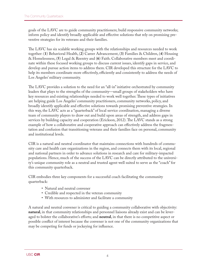goals of the LAVC are to guide community practitioners; build responsive community networks; inform policy and identify broadly applicable and effective solutions that rely on promising preventive strategies for its veterans and their families.

The LAVC has six scalable working groups with the relationships and resources needed to work together: (**1**) Behavioral Health, (**2**) Career Advancement, (**3**) Families & Children, (**4**) Housing & Homelessness, (**5**) Legal & Reentry and (**6**) Faith. Collaborative members meet and coordinate within these focused working groups to discuss current issues, identify gaps in service, and develop and pursue action items to address them. CIR developed this structure for the LAVC to help its members coordinate more effectively, efficiently and consistently to address the needs of Los Angeles' military community.

The LAVC provides a solution to the need for an "all-in" initiative orchestrated by community leaders that plays to the strengths of the community—small groups of stakeholders who have key resources and existing relationships needed to work well together. These types of initiatives are helping guide Los Angeles' community practitioners, community networks, policy, and broadly identify applicable and effective solutions towards promising preventive strategies. In this way, the LAVC acts as a "quarterback" of local service coordination, managing a diverse team of community players to draw out and build upon areas of strength, and address gaps in services by building capacity and cooperation (Erickson, 2012). The LAVC stands as a strong example of how a collaborative and cooperative approach can effectively address the fragmentation and confusion that transitioning veterans and their families face on personal, community and institutional levels.

CIR is a natural and neutral coordinator that maintains connections with hundreds of community care and health care organizations in the region, and connects them with its local, regional and national partners in order to advance solutions in research and care for military-impacted populations. Hence, much of the success of the LAVC can be directly attributed to the university's unique community role as a neutral and trusted agent well suited to serve as the "coach" for this community quarterback.

CIR embodies three key components for a successful coach facilitating the community quarterback:

- Natural and neutral convener
- Credible and respected in the veteran community
- With resources to administer and facilitate a community

A natural and neutral convener is critical to guiding a community collaborative with objectivity: **natural**, in that community relationships and personnel liaisons already exist and can be leveraged to bolster the collaborative's efforts; and **neutral**, in that there is no competitive aspect or possible conflict of interest because the convener is not one of the community organizations that may be competing for funds or jockeying for influence.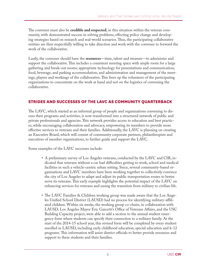The convener must also be **credible and respected**, in this situation within the veteran community, with demonstrated success in solving problems, effecting policy change and developing strategies based on research and real-world scenarios. Thus, the participating collaborative entities are then respectfully willing to take direction and work with the convener to forward the work of the collaborative.

Lastly, the convener should have the **resources**—time, talent and treasure—to administer and support the collaborative. This includes a consistent meeting space with ample room for a large gathering and break-out rooms; appropriate technology for presentations and communication; food, beverage, and parking accommodation; and administration and management of the meetings, players and workings of the collaborative. This frees up the volunteers of the participating organizations to concentrate on the work at hand and not on the logistics of convening the collaborative.

## **Strides and Successes of the lavc as community quarterback**

The LAVC, which started as an informal group of people and organizations convening to discuss their programs and activities, is now transformed into a structured network of public and private professionals and agencies. This network provides access to education and best practices, while encouraging collaboration and advocacy, empowering its members to provide more effective services to veterans and their families. Additionally, the LAVC is planning on creating an Executive Board, which will consist of community corporate partners, philanthropists and executives of member organizations, to further guide and support the LAVC.

Some examples of the LAVC successes include:

- A preliminary survey of Los Angeles veterans, conducted by the LAVC and CIR, indicated that veterans without a car had difficulties getting to work, school and medical facilities in such a vehicle-centric urban setting. Since, several community-based organizations and LAVC members have been working together to collectively convince the city of Los Angeles to adapt and adjust its public transportation routes to better serve its veterans. This early example highlights the potential impact of the LAVC on enhancing services for veterans and easing the transition from military to civilian life.
- The LAVC Families & Children working group was made aware that the Los Angeles Unified School District (LAUSD) had no process for identifying military-affiliated children. Within six weeks, the working group co-chairs, in collaboration with LAUSD, Los Angeles Mayor Eric Garcetti's Office of Veterans Affairs, and the USC Building Capacity project, were able to add a section to the annual student emergency form where students can specify their connection to a military family. At the start of the 2014-15 school year, this revised form will be completed by every student enrolled in LAUSD, including early childhood education, special education and k-12 programs. This information will assist district officials to better provide resources and support to these students and their families.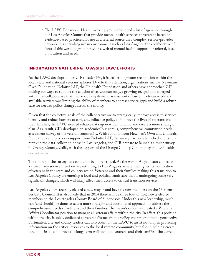• The LAVC Behavioral Health working group developed a list of agencies throughout Los Angeles County that provide mental health services to veterans based on evidence-based practices, for use as a referral source. In a complex, service-provider network in a sprawling urban environment such as Los Angeles, the collaborative efforts of this working group provide a web of mental health support for referral, based on location and need.

## **INFORMATION GATHERING TO ASSIST LAVC EFFORTS**

As the LAVC develops under CIR's leadership, it is gathering greater recognition within the local, state and national veterans' spheres. Due to this attention, organizations such as Newman's Own Foundation, Deloitte LLP, the Unihealth Foundation and others have approached CIR looking for ways to support the collaborative. Concurrently, a growing recognition emerged within the collaborative that the lack of a systematic assessment of current veteran needs and available services was limiting the ability of members to address service gaps and build a robust case for needed policy changes across the county.

Given that the collective goals of the collaborative are to strategically improve access to services, identify and reduce barriers to care, and influence policy to improve the lives of veterans and their families, the LAVC needed reliable data upon which to build and create a more strategic plan. As a result, CIR developed an academically rigorous, comprehensive, countywide needsassessment survey of the veteran community. With funding from Newman's Own and Unihealth foundations and pro bono support from Deloitte LLP, the survey has been launched and is currently in the data-collection phase in Los Angeles, and CIR prepare to launch a similar survey in Orange County, Calif., with the support of the Orange County Community and Unihealth foundations.

The timing of the survey data could not be more critical. As the war in Afghanistan comes to a close, many service members are returning to Los Angeles, where the highest concentration of veterans in the state and country reside. Veterans and their families making this transition to Los Angeles County are entering a local and political landscape that is undergoing some very significant changes, which will likely affect their access to critical transition services.

Los Angeles voters recently elected a new mayor, and have six new members on the 13-member City Council. It is also likely that in 2014 there will be three (out of five) newly elected members on the Los Angeles County Board of Supervisors. Under this new leadership, much can (and should) be done to take a more strategic and coordinated approach to address the comprehensive needs of veterans and their families. The mayor's office has created a Veterans Affairs Coordinator position to manage all veteran affairs within the city. In effect, this position within the city is solely dedicated to veterans' issues from a policy and programmatic perspective. Fortunately, city and county leaders can also count on the LAVC to assist not only in providing information on the critical resources to the local veteran community, but also in helping create local policies that improve the long-term well-being of veterans and their families. The current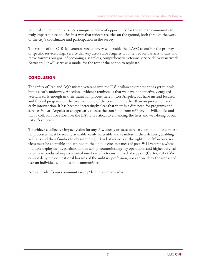political environment presents a unique window of opportunity for the veteran community to truly impact future policies in a way that reflects realities on the ground, both through the work of the city's coordinator and participation in the survey.

The results of the CIR-led veterans needs survey will enable the LAVC to outline the priority of specific services; align service delivery across Los Angeles County; reduce barriers to care and move towards our goal of becoming a seamless, comprehensive veterans service delivery network. Better still, it will serve as a model for the rest of the nation to replicate.

# **Conclusion**

The influx of Iraq and Afghanistan veterans into the U.S. civilian environment has yet to peak, but is clearly underway. Anecdotal evidence reminds us that we have not effectively engaged veterans early enough in their transition process here in Los Angeles, but have instead focused and funded programs on the treatment end of the continuum rather than on prevention and early intervention. It has become increasingly clear that there is a dire need for programs and services in Los Angeles to engage early to ease the transition from military to civilian life, and that a collaborative effort like the LAVC is critical to enhancing the lives and well-being of our nation's veterans.

To achieve a collective impact vision for any city, county or state, service coordination and referral processes must be readily available, easily accessible and seamless in their delivery, enabling veterans and their families to obtain the right kind of services at the right time. Moreover, services must be adaptable and attuned to the unique circumstances of post-9/11 veterans, whose multiple deployments, participation in taxing counterinsurgency operations and higher survival rates have produced unprecedented numbers of veterans in need of support (Carter, 2012). We cannot deny the occupational hazards of the military profession, nor can we deny the impact of war on individuals, families and communities.

Are we ready? Is our community ready? Is our country ready?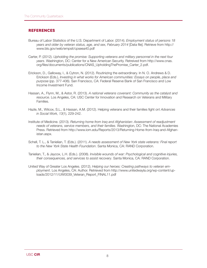#### **References**

- Bureau of Labor Statistics of the U.S. Department of Labor. (2014). *Employment status of persons 18 years and older by veteran status, age, and sex, February 2014* [Data file]. Retrieve from http:// www.bls.gov/web/empsit/cpseea40.pdf
- Carter, P. (2012). *Upholding the promise: Supporting veterans and military personnel in the next four years*. Washington, DC: Center for a New American Security. Retreived from http://www.cnas. org/files/documents/publications/CNAS\_UpholdingThePromise\_Carter\_2.pdf.
- Erickson, D., Galloway, I., & Cytron, N. (2012). Routinizing the extraordinary. In N. O. Andrews & D. Erickson (Eds.), *Investing in what works for American communities: Essays on people, place and purpose* (pp. 377-406). San Francisco, CA: Federal Reserve Bank of San Francisco and Low Income Investment Fund.
- Hassan, A., Flynn, M., & Astor, R. (2013). *A national veterans covenant: Community as the catalyst and resource*. Los Angeles, CA: USC Center for Innovation and Research on Veterans and Military **Families**
- Hazle, M., Wilcox, S.L., & Hassan, A.M. (2012). Helping veterans and their families fight on! *Advances in Social Work, 13*(1), 229-242.
- Institute of Medicine. (2013). *Returning home from Iraq and Afghanistan: Assessment of readjustment needs of veterans, service members, and their families*. Washington, DC: The National Academies Press. Retrieved from http://www.iom.edu/Reports/2013/Returning-Home-from-Iraq-and-Afghanistan.aspx.
- Schell, T. L., & Tanielian, T. (Eds.). (2011). *A needs assessment of New York state veterans: Final report to the New York State Health Foundation*. Santa Monica, CA: RAND Corporation.
- Tanielian, T., & Jaycox, L.H. (Eds.). (2008). *Invisible wounds of war: Psychological and cognitive injuries, their consequences, and services to assist recovery*. Santa Monica, CA: RAND Corporation.
- United Way of Greater Los Angeles. (2012). *Helping our heroes: Creating pathways to veteran employment*. Los Angeles, CA: Author. Retrieved from http://www.unitedwayla.org/wp-content/uploads/2012/11/UW0039\_Veteran\_Report\_FINAL11.pdf